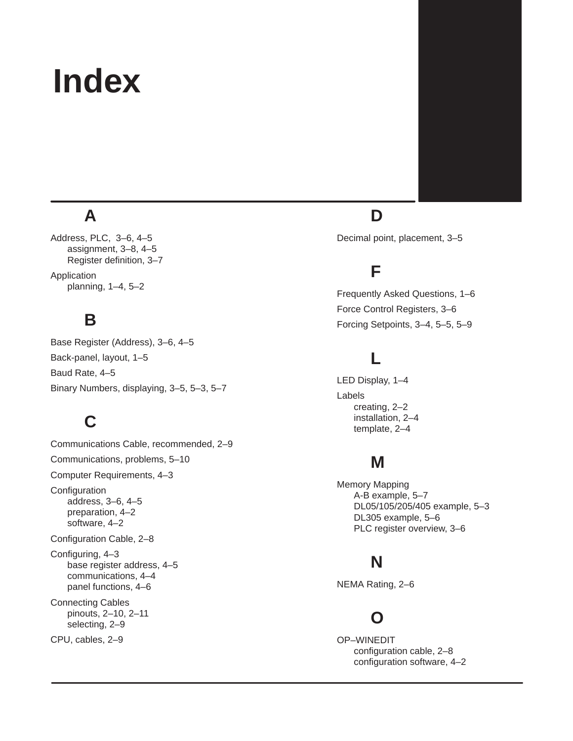# **Index**

# **A**

Address, PLC, 3–6, 4–5 assignment, 3–8, 4–5 Register definition, 3–7 Application planning, 1–4, 5–2

#### **B**

Base Register (Address), 3–6, 4–5 Back-panel, layout, 1–5 Baud Rate, 4–5 Binary Numbers, displaying, 3–5, 5–3, 5–7

### **C**

Communications Cable, recommended, 2–9 Communications, problems, 5–10 Computer Requirements, 4–3 **Configuration** address, 3–6, 4–5 preparation, 4–2 software, 4–2 Configuration Cable, 2–8 Configuring, 4–3 base register address, 4–5 communications, 4–4 panel functions, 4–6 Connecting Cables pinouts, 2–10, 2–11 selecting, 2–9 CPU, cables, 2–9

## **D**

Decimal point, placement, 3–5

#### **F**

Frequently Asked Questions, 1–6 Force Control Registers, 3–6 Forcing Setpoints, 3–4, 5–5, 5–9

### **L**

LED Display, 1–4 Labels creating, 2–2 installation, 2–4 template, 2–4

#### **M**

Memory Mapping A-B example, 5–7 DL05/105/205/405 example, 5–3 DL305 example, 5–6 PLC register overview, 3–6

#### **N**

NEMA Rating, 2–6

#### **O**

OP–WINEDIT configuration cable, 2–8 configuration software, 4–2